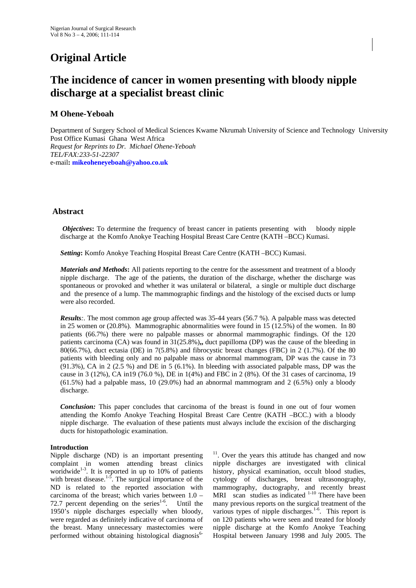# **Original Article**

## **The incidence of cancer in women presenting with bloody nipple discharge at a specialist breast clinic**

## **M Ohene-Yeboah**

Department of Surgery School of Medical Sciences Kwame Nkrumah University of Science and Technology University Post Office Kumasi Ghana West Africa *Request for Reprints to Dr. Michael Ohene-Yeboah TEL/FAX:233-51-22307* e-mail**: [mikeoheneyeboah@yahoo.co.uk](mailto:mikeoheneyeboah@yahoo.com)**

### **Abstract**

*Objectives*: To determine the frequency of breast cancer in patients presenting with bloody nipple discharge at the Komfo Anokye Teaching Hospital Breast Care Centre (KATH –BCC) Kumasi.

*Setting***:** Komfo Anokye Teaching Hospital Breast Care Centre (KATH –BCC) Kumasi.

*Materials and Methods***:** All patients reporting to the centre for the assessment and treatment of a bloody nipple discharge. The age of the patients, the duration of the discharge, whether the discharge was spontaneous or provoked and whether it was unilateral or bilateral, a single or multiple duct discharge and the presence of a lump. The mammographic findings and the histology of the excised ducts or lump were also recorded.

*Results*:. The most common age group affected was 35-44 years (56.7 %). A palpable mass was detected in 25 women or (20.8%). Mammographic abnormalities were found in 15 (12.5%) of the women. In 80 patients (66.7%) there were no palpable masses or abnormal mammographic findings. Of the 120 patients carcinoma (CA) was found in 31(25.8%)**,,** duct papilloma (DP) was the cause of the bleeding in 80(66.7%), duct ectasia (DE) in 7(5.8%) and fibrocystic breast changes (FBC) in 2 (1.7%). Of the 80 patients with bleeding only and no palpable mass or abnormal mammogram, DP was the cause in 73 (91.3%), CA in 2 (2.5 %) and DE in 5 (6.1%). In bleeding with associated palpable mass, DP was the cause in 3 (12%), CA in19 (76.0 %), DE in 1(4%) and FBC in 2 (8%). Of the 31 cases of carcinoma, 19 (61.5%) had a palpable mass, 10 (29.0%) had an abnormal mammogram and 2 (6.5%) only a bloody discharge.

*Conclusion:* This paper concludes that carcinoma of the breast is found in one out of four women attending the Komfo Anokye Teaching Hospital Breast Care Centre (KATH –BCC.) with a bloody nipple discharge. The evaluation of these patients must always include the excision of the discharging ducts for histopathologic examination.

#### **Introduction**

Nipple discharge (ND) is an important presenting complaint in women attending breast clinics woridwide<sup>1-3</sup>. It is reported in up to 10% of patients with breast disease.<sup>1-5</sup>. The surgical importance of the ND is related to the reported association with carcinoma of the breast; which varies between 1.0 – 72.7 percent depending on the series<sup>1-6</sup>. Until the 1950's nipple discharges especially when bloody, were regarded as definitely indicative of carcinoma of the breast. Many unnecessary mastectomies were performed without obtaining histological diagnosis<sup>6-</sup>

 $11$ . Over the years this attitude has changed and now nipple discharges are investigated with clinical history, physical examination, occult blood studies, cytology of discharges, breast ultrasonography, mammography, ductography, and recently breast MRI scan studies as indicated  $1-10$  There have been many previous reports on the surgical treatment of the various types of nipple discharges.<sup>1-6</sup>. This report is on 120 patients who were seen and treated for bloody nipple discharge at the Komfo Anokye Teaching Hospital between January 1998 and July 2005. The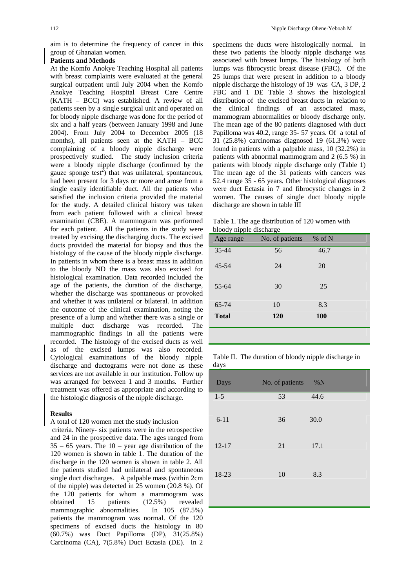aim is to determine the frequency of cancer in this group of Ghanaian women.

#### **Patients and Methods**

At the Komfo Anokye Teaching Hospital all patients with breast complaints were evaluated at the general surgical outpatient until July 2004 when the Komfo Anokye Teaching Hospital Breast Care Centre (KATH – BCC) was established. A review of all patients seen by a single surgical unit and operated on for bloody nipple discharge was done for the period of six and a half years (between January 1998 and June 2004). From July 2004 to December 2005 (18 months), all patients seen at the KATH – BCC complaining of a bloody nipple discharge were prospectively studied. The study inclusion criteria were a bloody nipple discharge (confirmed by the gauze sponge  $test^2$ ) that was unilateral, spontaneous, had been present for 3 days or more and arose from a single easily identifiable duct. All the patients who satisfied the inclusion criteria provided the material for the study. A detailed clinical history was taken from each patient followed with a clinical breast examination (CBE). A mammogram was performed for each patient. All the patients in the study were treated by excising the discharging ducts. The excised ducts provided the material for biopsy and thus the histology of the cause of the bloody nipple discharge. In patients in whom there is a breast mass in addition to the bloody ND the mass was also excised for histological examination. Data recorded included the age of the patients, the duration of the discharge, whether the discharge was spontaneous or provoked and whether it was unilateral or bilateral. In addition the outcome of the clinical examination, noting the presence of a lump and whether there was a single or multiple duct discharge was recorded. The mammographic findings in all the patients were recorded. The histology of the excised ducts as well as of the excised lumps was also recorded. Cytological examinations of the bloody nipple discharge and ductograms were not done as these services are not available in our institution. Follow up was arranged for between 1 and 3 months. Further treatment was offered as appropriate and according to the histologic diagnosis of the nipple discharge.

#### **Results**

#### A total of 120 women met the study inclusion

 criteria. Ninety- six patients were in the retrospective and 24 in the prospective data. The ages ranged from  $35 - 65$  years. The  $10 - \text{year}$  age distribution of the 120 women is shown in table 1. The duration of the discharge in the 120 women is shown in table 2. All the patients studied had unilateral and spontaneous single duct discharges. A palpable mass (within 2cm of the nipple) was detected in 25 women (20.8 %). Of the 120 patients for whom a mammogram was obtained 15 patients (12.5%) revealed mammographic abnormalities. In 105 (87.5%) patients the mammogram was normal. Of the 120 specimens of excised ducts the histology in 80 (60.7%) was Duct Papilloma (DP), 31(25.8%) Carcinoma (CA), 7(5.8%) Duct Ectasia (DE). In 2

specimens the ducts were histologically normal. In these two patients the bloody nipple discharge was associated with breast lumps. The histology of both lumps was fibrocystic breast disease (FBC). Of the 25 lumps that were present in addition to a bloody nipple discharge the histology of 19 was CA, 3 DP, 2 FBC and 1 DE Table 3 shows the histological distribution of the excised breast ducts in relation to the clinical findings of an associated mass, mammogram abnormalities or bloody discharge only. The mean age of the 80 patients diagnosed with duct Papilloma was 40.2, range 35- 57 years. Of a total of 31 (25.8%) carcinomas diagnosed 19 (61.3%) were found in patients with a palpable mass, 10 (32.2%) in patients with abnormal mammogram and 2 (6.5 %) in patients with bloody nipple discharge only (Table 1) The mean age of the 31 patients with cancers was 52.4 range 35 - 65 years. Other histological diagnoses were duct Ectasia in 7 and fibrocystic changes in 2 women. The causes of single duct bloody nipple discharge are shown in table III

Table 1. The age distribution of 120 women with bloody nipple discharge

| prophy implie discharge<br>Age range | No. of patients | $%$ of N   |  |
|--------------------------------------|-----------------|------------|--|
| $35 - 44$                            | 56              | 46.7       |  |
| $45 - 54$                            | 24              | 20         |  |
| $55 - 64$                            | 30              | 25         |  |
| 65-74                                | 10              | 8.3        |  |
| <b>Total</b>                         | 120             | <b>100</b> |  |
|                                      |                 |            |  |

Table II. The duration of bloody nipple discharge in days

| Days      | No. of patients | %N   |  |
|-----------|-----------------|------|--|
| $1 - 5$   | 53              | 44.6 |  |
| $6 - 11$  | 36              | 30.0 |  |
| $12 - 17$ | 21              | 17.1 |  |
| 18-23     | 10              | 8.3  |  |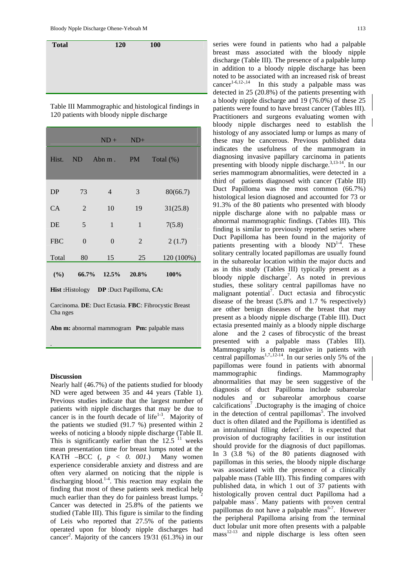

Table III Mammographic and histological findings in 120 patients with bloody nipple discharge

|                                                   |                | $ND +$       | $ND+$     |              |
|---------------------------------------------------|----------------|--------------|-----------|--------------|
| Hist.                                             | <b>ND</b>      | Abn m.       | <b>PM</b> | Total $(\%)$ |
| DP                                                | 73             | 4            | 3         | 80(66.7)     |
| CA                                                | $\overline{2}$ | 10           | 19        | 31(25.8)     |
| DE                                                | 5              | $\mathbf{1}$ | 1         | 7(5.8)       |
| <b>FBC</b>                                        | $\overline{0}$ | $\Omega$     | 2         | 2(1.7)       |
| Total                                             | 80             | 15           | 25        | 120 (100%)   |
| (%)                                               | 66.7%          | 12.5%        | 20.8%     | 100%         |
| <b>Hist:</b> Histology<br>DP :Duct Papilloma, CA: |                |              |           |              |

Carcinoma. **DE**: Duct Ectasia. **FBC**: Fibrocystic Breast Cha nges

Abn m: abnormal mammogram Pm: palpable mass

#### **Discussion**

.

Nearly half (46.7%) of the patients studied for bloody ND were aged between 35 and 44 years (Table 1). Previous studies indicate that the largest number of patients with nipple discharges that may be due to cancer is in the fourth decade of life $1-3$ . Majority of the patients we studied (91.7 %) presented within 2 weeks of noticing a bloody nipple discharge (Table II. This is significantly earlier than the  $12.5$  <sup>11</sup> weeks mean presentation time for breast lumps noted at the KATH –BCC (*, p < 0. 001*.) Many women experience considerable anxiety and distress and are often very alarmed on noticing that the nipple is discharging blood.<sup>1-4</sup>. This reaction may explain the finding that most of these patients seek medical help much earlier than they do for painless breast lumps. <sup>2</sup> Cancer was detected in 25.8% of the patients we studied (Table III). This figure is similar to the finding of Leis who reported that 27.5% of the patients operated upon for bloody nipple discharges had cancer<sup>2</sup>. Majority of the cancers 19/31 (61.3%) in our

series were found in patients who had a palpable breast mass associated with the bloody nipple discharge (Table III). The presence of a palpable lump in addition to a bloody nipple discharge has been noted to be associated with an increased risk of breast cancer<sup>1-6,12-,14</sup> In this study a palpable mass was In this study a palpable mass was detected in 25 (20.8%) of the patients presenting with a bloody nipple discharge and 19 (76.0%) of these 25 patients were found to have breast cancer (Tables III). Practitioners and surgeons evaluating women with bloody nipple discharges need to establish the histology of any associated lump or lumps as many of these may be cancerous. Previous published data indicates the usefulness of the mammogram in diagnosing invasive papillary carcinoma in patients presenting with bloody nipple discharge.3,13-14. In our series mammogram abnormalities, were detected in a third of patients diagnosed with cancer (Table III) Duct Papilloma was the most common (66.7%) histological lesion diagnosed and accounted for 73 or 91.3% of the 80 patients who presented with bloody nipple discharge alone with no palpable mass or abnormal mammographic findings. (Tables III). This finding is similar to previously reported series where Duct Papilloma has been found in the majority of patients presenting with a bloody  $ND^{1-4}$ . These solitary centrally located papillomas are usually found in the subareolar location within the major ducts and as in this study (Tables III) typically present as a bloody nipple discharge<sup>7</sup>. As noted in previous studies, these solitary central papillomas have no malignant potential<sup>7</sup>. Duct ectasia and fibrocystic disease of the breast (5.8% and 1.7 % respectively) are other benign diseases of the breast that may present as a bloody nipple discharge (Table III). Duct ectasia presented mainly as a bloody nipple discharge alone and the 2 cases of fibrocystic of the breast presented with a palpable mass (Tables III). Mammography is often negative in patients with central papillomas<sup>1,7,,12-14</sup>. In our series only 5% of the papillomas were found in patients with abnormal mammographic findings. Mammography abnormalities that may be seen suggestive of the diagnosis of duct Papilloma include subareolar nodules and or subareolar amorphous coarse calcifications<sup>7</sup> .Ductography is the imaging of choice in the detection of central papillomas<sup>5</sup>. The involved duct is often dilated and the Papilloma is identified as an intraluminal filling defect<sup>7</sup>. It is expected that provision of ductography facilities in our institution should provide for the diagnosis of duct papillomas. In 3 (3.8 %) of the 80 patients diagnosed with papillomas in this series, the bloody nipple discharge was associated with the presence of a clinically palpable mass (Table III). This finding compares with published data, in which 1 out of 37 patients with histologically proven central duct Papilloma had a palpable mass<sup>7</sup>. Many patients with proven central papillomas do not have a palpable mass<sup>6-7</sup>. However the peripheral Papilloma arising from the terminal duct lobular unit more often presents with a palpable  $mass<sup>12-13</sup>$  and nipple discharge is less often seen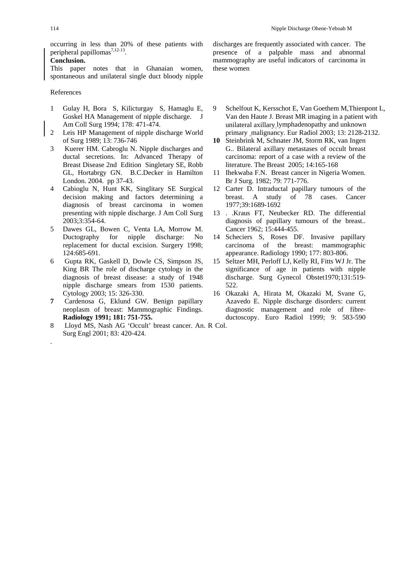occurring in less than 20% of these patients with peripheral papillomas<sup>7,12-13</sup>.

#### **Conclusion.**

This paper notes that in Ghanaian women, spontaneous and unilateral single duct bloody nipple

#### References

.

- 1 Gulay H, Bora S, Kilicturgay S, Hamaglu E, Goskel HA Management of nipple discharge. J Am Coll Surg 1994; 178: 471-474.
- 2 Leis HP Management of nipple discharge World of Surg 1989; 13: 736-746
- 3 Kuerer HM. Cabroglu N. Nipple discharges and ductal secretions. In: Advanced Therapy of Breast Disease 2nd Edition Singletary SE, Robb GL, Hortabrgy GN. B.C.Decker in Hamilton London. 2004. pp 37-43.
- 4 Cabioglu N, Hunt KK, Singlitary SE Surgical decision making and factors determining a diagnosis of breast carcinoma in women presenting with nipple discharge. J Am Coll Surg 2003;3:354-64.
- 5 Dawes GL, Bowen C, Venta LA, Morrow M. Ductography for nipple discharge: No replacement for ductal excision. Surgery 1998; 124:685-691.
- 6 Gupta RK, Gaskell D, Dowle CS, Simpson JS, King BR The role of discharge cytology in the diagnosis of breast disease: a study of 1948 nipple discharge smears from 1530 patients. Cytology 2003; 15: 326-330.
- **7** Cardenosa G, Eklund GW. Benign papillary neoplasm of breast: Mammographic Findings. **Radiology 1991; 181: 751-755.**
- 8 Lloyd MS, Nash AG 'Occult' breast cancer. An. R Col. Surg Engl 2001; 83: 420-424.

discharges are frequently associated with cancer. The presence of a palpable mass and abnormal mammography are useful indicators of carcinoma in these women

- 9 Schelfout K, Kersschot E, Van Goethem M,Thienpont L, Van den Haute J. Breast MR imaging in a patient with unilateral axillary lymphadenopathy and unknown primary malignancy. Eur Radiol 2003; 13: 2128-2132.
- **10** Steinbrink M, Schnater JM, Storm RK, van Ingen G.. Bilateral axillary metastases of occult breast carcinoma: report of a case with a review of the literature. The Breast 2005; 14:165-168
- 11 Ihekwaba F.N. Breast cancer in Nigeria Women. Br J Surg. 1982; 79: 771-776.
- 12 Carter D. Intraductal papillary tumours of the breast. A study of 78 cases. Cancer 1977;39:1689-1692
- 13 . .Kraus FT, Neubecker RD. The differential diagnosis of papillary tumours of the breast.. Cancer 1962; 15:444-455.
- 14 Scheciers S, Roses DF. Invasive papillary carcinoma of the breast: mammographic appearance. Radiology 1990; 177: 803-806.
- 15 Seltzer MH, Perloff LJ, Kelly RI, Fitts WJ Jr. The significance of age in patients with nipple discharge. Surg Gynecol Obstet1970;131:519- 522.
- 16 Okazaki A, Hirata M, Okazaki M, Svane G, Azavedo E. Nipple discharge disorders: current diagnostic management and role of fibreductoscopy. Euro Radiol 1999; 9: 583-590